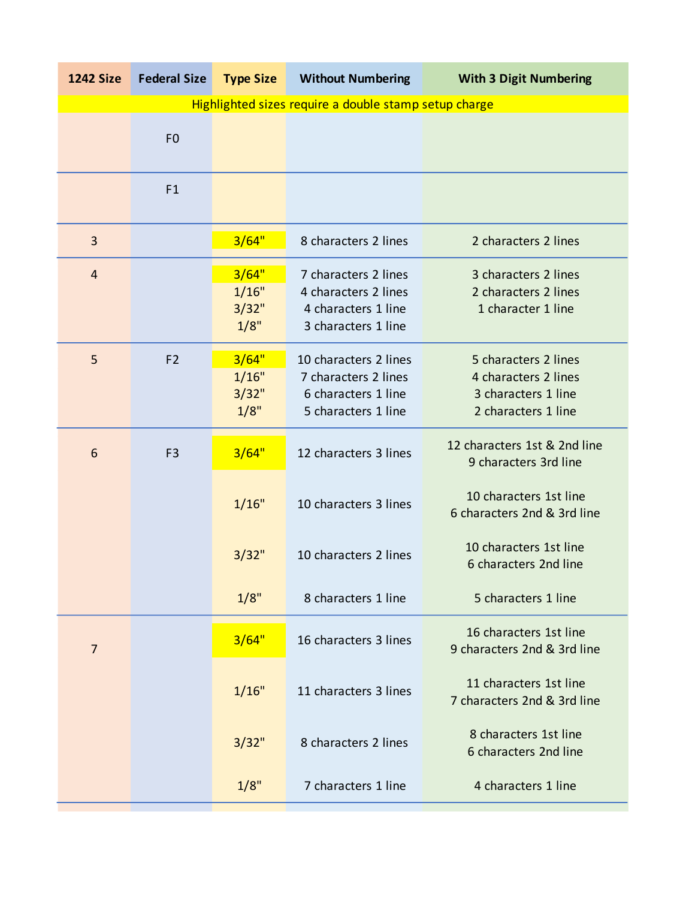| <b>1242 Size</b>                                      | <b>Federal Size</b> | <b>Type Size</b>                | <b>Without Numbering</b>                                                                    | <b>With 3 Digit Numbering</b>                                                              |  |
|-------------------------------------------------------|---------------------|---------------------------------|---------------------------------------------------------------------------------------------|--------------------------------------------------------------------------------------------|--|
| Highlighted sizes require a double stamp setup charge |                     |                                 |                                                                                             |                                                                                            |  |
|                                                       | F <sub>0</sub>      |                                 |                                                                                             |                                                                                            |  |
|                                                       | F1                  |                                 |                                                                                             |                                                                                            |  |
| 3                                                     |                     | 3/64"                           | 8 characters 2 lines                                                                        | 2 characters 2 lines                                                                       |  |
| $\overline{4}$                                        |                     | 3/64"<br>1/16"<br>3/32"<br>1/8" | 7 characters 2 lines<br>4 characters 2 lines<br>4 characters 1 line<br>3 characters 1 line  | 3 characters 2 lines<br>2 characters 2 lines<br>1 character 1 line                         |  |
| 5                                                     | F <sub>2</sub>      | 3/64"<br>1/16"<br>3/32"<br>1/8" | 10 characters 2 lines<br>7 characters 2 lines<br>6 characters 1 line<br>5 characters 1 line | 5 characters 2 lines<br>4 characters 2 lines<br>3 characters 1 line<br>2 characters 1 line |  |
| 6                                                     | F <sub>3</sub>      | 3/64"                           | 12 characters 3 lines                                                                       | 12 characters 1st & 2nd line<br>9 characters 3rd line                                      |  |
|                                                       |                     | 1/16"                           | 10 characters 3 lines                                                                       | 10 characters 1st line<br>6 characters 2nd & 3rd line                                      |  |
|                                                       |                     | 3/32"                           | 10 characters 2 lines                                                                       | 10 characters 1st line<br>6 characters 2nd line                                            |  |
|                                                       |                     | 1/8"                            | 8 characters 1 line                                                                         | 5 characters 1 line                                                                        |  |
| $\overline{7}$                                        |                     | 3/64"                           | 16 characters 3 lines                                                                       | 16 characters 1st line<br>9 characters 2nd & 3rd line                                      |  |
|                                                       |                     | 1/16"                           | 11 characters 3 lines                                                                       | 11 characters 1st line<br>7 characters 2nd & 3rd line                                      |  |
|                                                       |                     | 3/32"                           | 8 characters 2 lines                                                                        | 8 characters 1st line<br>6 characters 2nd line                                             |  |
|                                                       |                     | 1/8"                            | 7 characters 1 line                                                                         | 4 characters 1 line                                                                        |  |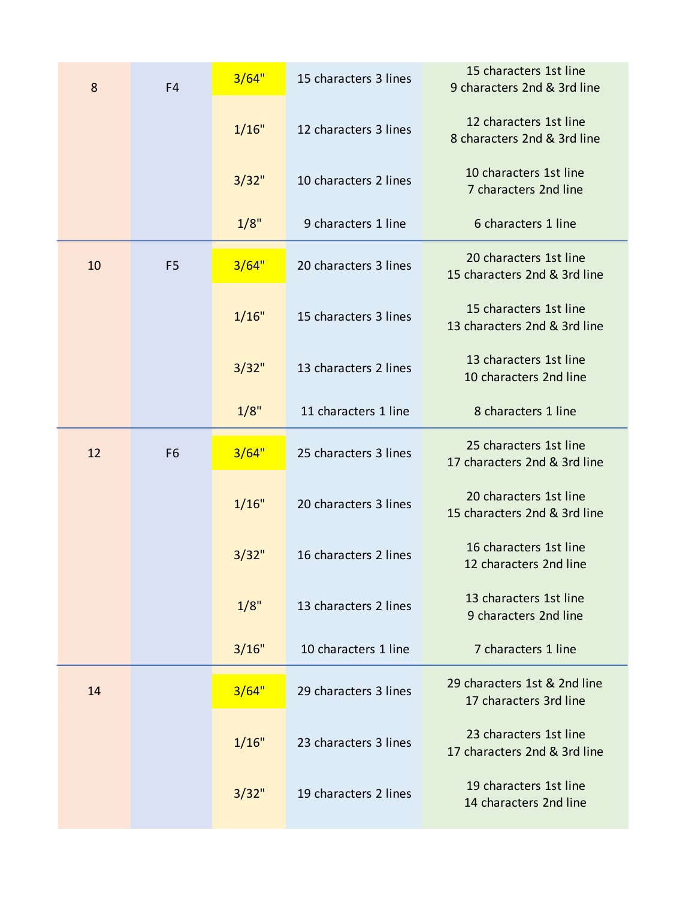| 8  | F4             | 3/64" | 15 characters 3 lines | 15 characters 1st line<br>9 characters 2nd & 3rd line  |
|----|----------------|-------|-----------------------|--------------------------------------------------------|
|    |                | 1/16" | 12 characters 3 lines | 12 characters 1st line<br>8 characters 2nd & 3rd line  |
|    |                | 3/32" | 10 characters 2 lines | 10 characters 1st line<br>7 characters 2nd line        |
|    |                | 1/8"  | 9 characters 1 line   | 6 characters 1 line                                    |
| 10 | F <sub>5</sub> | 3/64" | 20 characters 3 lines | 20 characters 1st line<br>15 characters 2nd & 3rd line |
|    |                | 1/16" | 15 characters 3 lines | 15 characters 1st line<br>13 characters 2nd & 3rd line |
|    |                | 3/32" | 13 characters 2 lines | 13 characters 1st line<br>10 characters 2nd line       |
|    |                | 1/8"  | 11 characters 1 line  | 8 characters 1 line                                    |
| 12 | F <sub>6</sub> | 3/64" | 25 characters 3 lines | 25 characters 1st line<br>17 characters 2nd & 3rd line |
|    |                | 1/16" | 20 characters 3 lines | 20 characters 1st line<br>15 characters 2nd & 3rd line |
|    |                | 3/32" | 16 characters 2 lines | 16 characters 1st line<br>12 characters 2nd line       |
|    |                | 1/8"  | 13 characters 2 lines | 13 characters 1st line<br>9 characters 2nd line        |
|    |                | 3/16" | 10 characters 1 line  | 7 characters 1 line                                    |
| 14 |                | 3/64" | 29 characters 3 lines | 29 characters 1st & 2nd line<br>17 characters 3rd line |
|    |                | 1/16" | 23 characters 3 lines | 23 characters 1st line<br>17 characters 2nd & 3rd line |
|    |                | 3/32" | 19 characters 2 lines | 19 characters 1st line<br>14 characters 2nd line       |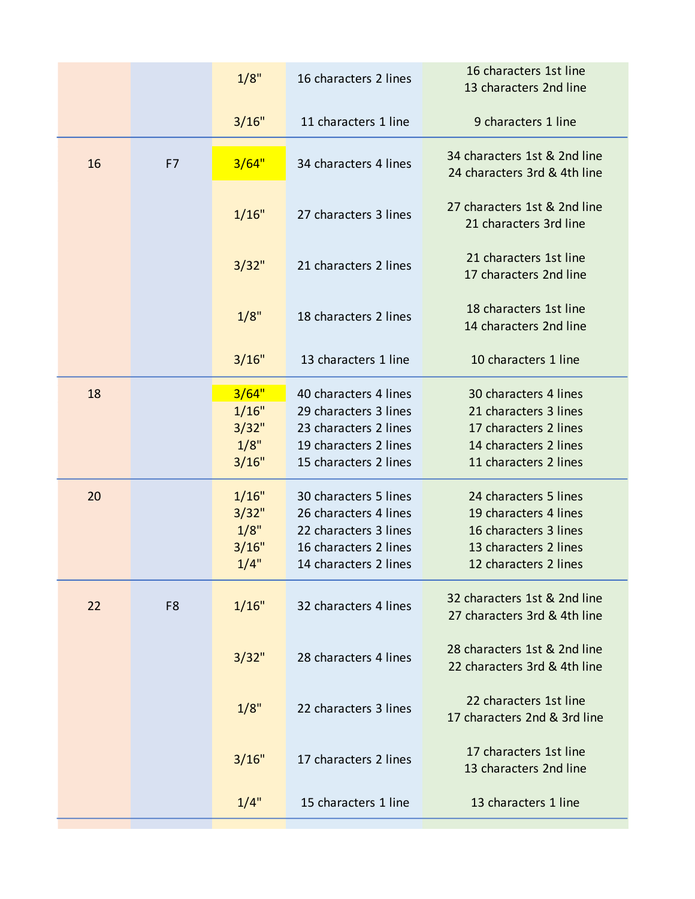|    |                | 1/8"                                     | 16 characters 2 lines                                                                                                     | 16 characters 1st line<br>13 characters 2nd line                                                                          |
|----|----------------|------------------------------------------|---------------------------------------------------------------------------------------------------------------------------|---------------------------------------------------------------------------------------------------------------------------|
|    |                | 3/16"                                    | 11 characters 1 line                                                                                                      | 9 characters 1 line                                                                                                       |
| 16 | F7             | 3/64"                                    | 34 characters 4 lines                                                                                                     | 34 characters 1st & 2nd line<br>24 characters 3rd & 4th line                                                              |
|    |                | 1/16"                                    | 27 characters 3 lines                                                                                                     | 27 characters 1st & 2nd line<br>21 characters 3rd line                                                                    |
|    |                | 3/32"                                    | 21 characters 2 lines                                                                                                     | 21 characters 1st line<br>17 characters 2nd line                                                                          |
|    |                | 1/8"                                     | 18 characters 2 lines                                                                                                     | 18 characters 1st line<br>14 characters 2nd line                                                                          |
|    |                | 3/16"                                    | 13 characters 1 line                                                                                                      | 10 characters 1 line                                                                                                      |
| 18 |                | 3/64"<br>1/16"<br>3/32"<br>1/8"<br>3/16" | 40 characters 4 lines<br>29 characters 3 lines<br>23 characters 2 lines<br>19 characters 2 lines<br>15 characters 2 lines | 30 characters 4 lines<br>21 characters 3 lines<br>17 characters 2 lines<br>14 characters 2 lines<br>11 characters 2 lines |
| 20 |                | 1/16"<br>3/32"<br>1/8"<br>3/16"<br>1/4"  | 30 characters 5 lines<br>26 characters 4 lines<br>22 characters 3 lines<br>16 characters 2 lines<br>14 characters 2 lines | 24 characters 5 lines<br>19 characters 4 lines<br>16 characters 3 lines<br>13 characters 2 lines<br>12 characters 2 lines |
| 22 | F <sub>8</sub> | 1/16"                                    | 32 characters 4 lines                                                                                                     | 32 characters 1st & 2nd line<br>27 characters 3rd & 4th line                                                              |
|    |                | 3/32"                                    | 28 characters 4 lines                                                                                                     | 28 characters 1st & 2nd line<br>22 characters 3rd & 4th line                                                              |
|    |                | 1/8"                                     | 22 characters 3 lines                                                                                                     | 22 characters 1st line<br>17 characters 2nd & 3rd line                                                                    |
|    |                | 3/16"                                    | 17 characters 2 lines                                                                                                     | 17 characters 1st line<br>13 characters 2nd line                                                                          |
|    |                | 1/4"                                     | 15 characters 1 line                                                                                                      | 13 characters 1 line                                                                                                      |